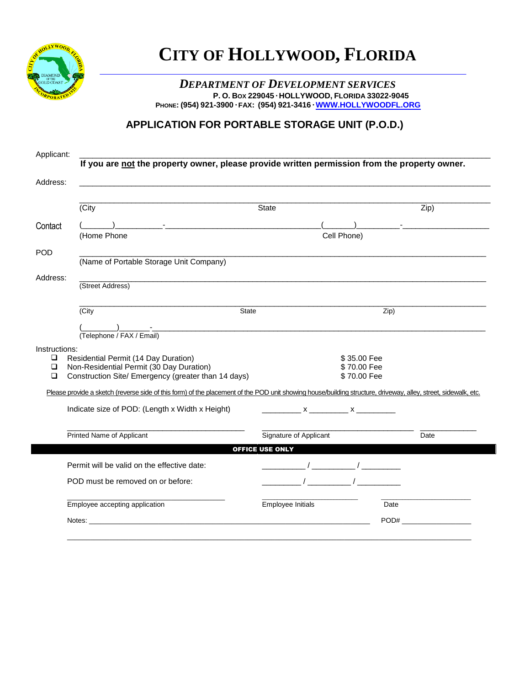

## **CITY OF HOLLYWOOD, FLORIDA**

## *DEPARTMENT OF DEVELOPMENT SERVICES* **P. O. BOX 229045 ● HOLLYWOOD, FLORIDA 33022-9045 PHONE: (954) 921-3900 ● FAX: (954) 921-3416 ● [WWW.HOLLYWOODFL.ORG](http://www.hollywoodfl.org/)**

## **APPLICATION FOR PORTABLE STORAGE UNIT (P.O.D.)**

| Applicant:                             | If you are not the property owner, please provide written permission from the property owner.                                                                                                                                  |                                                                                                                     |                                           |      |
|----------------------------------------|--------------------------------------------------------------------------------------------------------------------------------------------------------------------------------------------------------------------------------|---------------------------------------------------------------------------------------------------------------------|-------------------------------------------|------|
| Address:                               |                                                                                                                                                                                                                                |                                                                                                                     |                                           |      |
|                                        | (City                                                                                                                                                                                                                          | <b>State</b>                                                                                                        |                                           | Zip) |
| Contact                                | ) $\qquad -$<br>(Home Phone                                                                                                                                                                                                    | Cell Phone)                                                                                                         |                                           |      |
| <b>POD</b>                             | (Name of Portable Storage Unit Company)                                                                                                                                                                                        |                                                                                                                     |                                           |      |
| Address:                               | (Street Address)                                                                                                                                                                                                               |                                                                                                                     |                                           |      |
|                                        | State<br>(City                                                                                                                                                                                                                 |                                                                                                                     | Zip)                                      |      |
|                                        | (Telephone / FAX / Email)                                                                                                                                                                                                      | e de la construcción de la construcción de la construcción de la construcción de la construcción de la construcción |                                           |      |
| Instructions:<br>□<br>$\Box$<br>$\Box$ | Residential Permit (14 Day Duration)<br>Non-Residential Permit (30 Day Duration)<br>Construction Site/ Emergency (greater than 14 days)                                                                                        |                                                                                                                     | \$35.00 Fee<br>\$70.00 Fee<br>\$70.00 Fee |      |
|                                        | Please provide a sketch (reverse side of this form) of the placement of the POD unit showing house/building structure, driveway, alley, street, sidewalk, etc.                                                                 |                                                                                                                     |                                           |      |
|                                        | Indicate size of POD: (Length x Width x Height)                                                                                                                                                                                |                                                                                                                     |                                           |      |
|                                        | Printed Name of Applicant                                                                                                                                                                                                      | Signature of Applicant                                                                                              |                                           | Date |
|                                        |                                                                                                                                                                                                                                | <b>OFFICE USE ONLY</b>                                                                                              |                                           |      |
|                                        | Permit will be valid on the effective date:<br>POD must be removed on or before:                                                                                                                                               | $\frac{1}{\sqrt{1-\frac{1}{2}}}\left( \frac{1}{\sqrt{1-\frac{1}{2}}}\right)$<br>$\sqrt{2}$                          |                                           |      |
|                                        |                                                                                                                                                                                                                                |                                                                                                                     |                                           |      |
|                                        | Employee accepting application                                                                                                                                                                                                 | Employee Initials                                                                                                   | Date                                      |      |
|                                        | Notes: the contract of the contract of the contract of the contract of the contract of the contract of the contract of the contract of the contract of the contract of the contract of the contract of the contract of the con |                                                                                                                     |                                           | POD# |